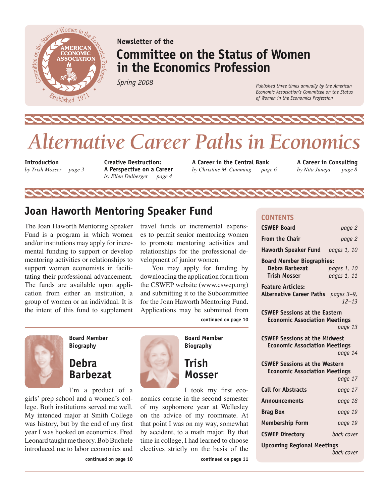

### **Newsletter of the Committee on the Status of Women in the Economics Profession**

*Spring 2008*

*Published three times annually by the American Economic Association's Committee on the Status of Women in the Economics Profession*

# *Alternative Career Paths in Economics*

222

**Introduction**  *by Trish Mosser page 3*  **Creative Destruction: A Perspective on a Career**  *by Ellen Dulberger page 4*

**A Career in the Central Bank** *by Christine M. Cumming page 6* **A Career in Consulting** *by Nita Juneja page 8*

### **Joan Haworth Mentoring Speaker Fund**

The Joan Haworth Mentoring Speaker Fund is a program in which women and/or institutions may apply for incremental funding to support or develop mentoring activities or relationships to support women economists in facilitating their professional advancement. The funds are available upon application from either an institution, a group of women or an individual. It is the intent of this fund to supplement

travel funds or incremental expenses to permit senior mentoring women to promote mentoring activities and relationships for the professional development of junior women.

You may apply for funding by downloading the application form from the CSWEP website (www.cswep.org) and submitting it to the Subcommittee for the Joan Haworth Mentoring Fund. Applications may be submitted from **continued on page 10**

**Board Member Biography**

### **Debra Barbezat**

I'm a product of a girls' prep school and a women's col-

**continued on page 10**

lege. Both institutions served me well. My intended major at Smith College was history, but by the end of my first year I was hooked on economics. Fred Leonard taught me theory. Bob Buchele introduced me to labor economics and



**Board Member Biography**

### **Trish Mosser**

I took my first economics course in the second semester of my sophomore year at Wellesley on the advice of my roommate. At that point I was on my way, somewhat by accident, to a math major. By that time in college, I had learned to choose electives strictly on the basis of the

**continued on page 11**

### **CONTENTS**

| <b>CSWEP Board</b>                                                           | page 2      |
|------------------------------------------------------------------------------|-------------|
| <b>From the Chair</b>                                                        | page 2      |
| Haworth Speaker Fund pages 1, 10                                             |             |
| <b>Board Member Biographies:</b>                                             |             |
| Debra Barbezat                                                               | pages 1, 10 |
| <b>Trish Mosser</b>                                                          | pages 1, 11 |
| <b>Feature Articles:</b>                                                     |             |
| Alternative Career Paths pages 3-9,                                          | $12 - 13$   |
|                                                                              |             |
| <b>CSWEP Sessions at the Eastern</b><br><b>Economic Association Meetings</b> |             |
|                                                                              | page 13     |
| <b>CSWEP Sessions at the Midwest</b>                                         |             |
| <b>Economic Association Meetings</b>                                         |             |
|                                                                              | page 14     |
| <b>CSWEP Sessions at the Western</b>                                         |             |
| <b>Economic Association Meetings</b>                                         |             |
|                                                                              | page 17     |
| <b>Call for Abstracts</b>                                                    | page 17     |
| Announcements                                                                | page 18     |
| <b>Brag Box</b>                                                              | page 19     |
| <b>Membership Form</b>                                                       | page 19     |
| <b>CSWEP Directory</b>                                                       | back cover  |
| <b>Upcoming Regional Meetings</b>                                            |             |
|                                                                              | back cover  |
|                                                                              |             |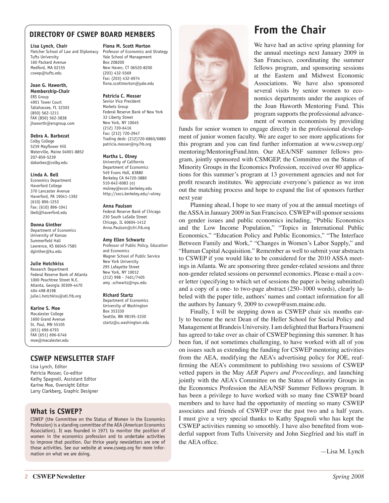### **DIRECTORY OF CSWEP BOARD MEMBERS**

#### **Lisa Lynch, Chair**

Fletcher School of Law and Diplomacy Tufts University 160 Packard Avenue Medford, MA 02155 cswep@tufts.edu

### **Joan G. Haworth,**

**Membership-Chair** ERS Group 4901 Tower Court Tallahassee, FL 32303 (850) 562-1211 FAX (850) 562-3838 jhaworth@ersgroup.com

#### **Debra A. Barbezat**

Colby College 5239 Mayflower Hill Waterville, Maine 04901-8852 207-859-5239 dabarbez@colby.edu

#### **Linda A. Bell**

Economics Department Haverford College 370 Lancaster Avenue Haverford, PA 19041-1392 (610) 896-1253 Fax: (610) 896-1041 lbell@haverford.edu

#### **Donna Ginther**

Department of Economics University of Kansas Summerfield Hall Lawrence, KS 66045-7585 dginther@ku.edu

#### **Julie Hotchkiss**

Research Department Federal Reserve Bank of Atlanta 1000 Peachtree Street N.E. Atlanta, Georgia 30309-4470 404-498-8198 julie.l.hotchkiss@atl.frb.org

#### **Karine S. Moe**

Macalester College 1600 Grand Avenue St. Paul, MN 55105 (651) 696-6793 FAX (651) 696-6746 moe@macalester.edu

#### **Fiona M. Scott Morton**

Professor of Economics and Strategy Yale School of Management Box 208200 New Haven, CT 06520-8200 (203) 432-5569 Fax: (203) 432-6974 fiona.scottmorton@yale.edu

#### **Patricia C. Mosser**

Senior Vice President Markets Group Federal Reserve Bank of New York 33 Liberty Street New York, NY 10045 (212) 720-6416 Fax: (212) 720-2947 Trading desk: (212)720-6860/6880 patricia.mosser@ny.frb.org

#### **Martha L. Olney**

University of California Department of Economics 549 Evans Hall, #3880 Berkeley CA 94720-3880 510-642-6083 (o) molney@econ.berkeley.edu http://socs.berkeley.edu/~olney

#### **Anna Paulson**

Federal Reserve Bank of Chicago 230 South LaSalle Street Chicago, IL 60604-1412 Anna.Paulson@chi.frb.org

#### **Amy Ellen Schwartz**

Professor of Public Policy, Education and Economics Wagner School of Public Service New York University 295 Lafayette Street New York, NY 10012 (212) 998 - 7461/7405 amy .schwartz@nyu.edu

#### **Richard Startz**

Department of Economics University of Washington Box 353330 Seattle, WA 98195-3330 startz@u.washington.edu

### **CSWEP NEWSLETTER STAFF**

Lisa Lynch, Editor Patricia Mosser, Co-editor Kathy Spagnoli, Assistant Editor Karine Moe, Oversight Editor Larry Clarkberg, Graphic Designer

### **What is CSWEP?**

CSWEP (the Committee on the Status of Women in the Economics Profession) is a standing committee of the AEA (American Economics Association). It was founded in 1971 to monitor the position of women in the economics profession and to undertake activities to improve that position. Our thrice yearly newsletters are one of those activities. See our website at www.cswep.org for more information on what we are doing.



### **From the Chair**

We have had an active spring planning for the annual meetings next January 2009 in San Francisco, coordinating the summer fellows program, and sponsoring sessions at the Eastern and Midwest Economic Associations. We have also sponsored several visits by senior women to economics departments under the auspices of the Joan Haworth Mentoring Fund. This program supports the professional advancement of women economists by providing

funds for senior women to engage directly in the professional development of junior women faculty. We are eager to see more applications for this program and you can find further information at www.cswep.org/ mentoring/MentoringFund.htm. Our AEA/NSF summer fellows program, jointly sponsored with CSMGEP, the Committee on the Status of Minority Groups in the Economics Profession, received over 80 applications for this summer's program at 13 government agencies and not for profit research institutes. We appreciate everyone's patience as we iron out the matching process and hope to expand the list of sponsors further next year

Planning ahead, I hope to see many of you at the annual meetings of the ASSA in January 2009 in San Francisco. CSWEP will sponsor sessions on gender issues and public economics including, "Public Economics and the Low Income Population," "Topics in International Public Economics," "Education Policy and Public Economics," "The Interface Between Family and Work," "Changes in Women's Labor Supply," and "Human Capital Acquisition." Remember as well to submit your abstracts to CSWEP if you would like to be considered for the 2010 ASSA meetings in Atlanta. We are sponsoring three gender-related sessions and three non-gender related sessions on personnel economics. Please e-mail a cover letter (specifying to which set of sessions the paper is being submitted) and a copy of a one- to two-page abstract (250–1000 words), clearly labeled with the paper title, authors' names and contact information for all the authors by January 9, 2009 to cswep@usm.maine.edu.

Finally, I will be stepping down as CSWEP chair six months early to become the next Dean of the Heller School for Social Policy and Management at Brandeis University. I am delighted that Barbara Fraumeni has agreed to take over as chair of CSWEP beginning this summer. It has been fun, if not sometimes challenging, to have worked with all of you on issues such as extending the funding for CSWEP mentoring activities from the AEA, modifying the AEA's advertising policy for JOE, reaffirming the AEA's commitment to publishing two sessions of CSWEP vetted papers in the May *AER Papers and Proceedings,* and launching jointly with the AEA's Committee on the Status of Minority Groups in the Economics Profession the AEA/NSF Summer Fellows program. It has been a privilege to have worked with so many fine CSWEP board members and to have had the opportunity of meeting so many CSWEP associates and friends of CSWEP over the past two and a half years. I must give a very special thanks to Kathy Spagnoli who has kept the CSWEP activities running so smoothly. I have also benefited from wonderful support from Tufts University and John Siegfried and his staff in the AEA office.

—Lisa M. Lynch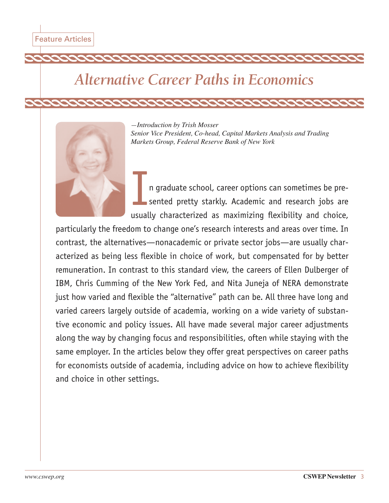# *Alternative Career Paths in Economics*



*—Introduction by Trish Mosser Senior Vice President, Co-head, Capital Markets Analysis and Trading Markets Group, Federal Reserve Bank of New York*

n graduate school, career options can sometimes be presented pretty starkly. Academic and research jobs are usually characterized as maximizing flexibility and choice,

particularly the freedom to change one's research interests and areas over time. In contrast, the alternatives—nonacademic or private sector jobs—are usually characterized as being less flexible in choice of work, but compensated for by better remuneration. In contrast to this standard view, the careers of Ellen Dulberger of IBM, Chris Cumming of the New York Fed, and Nita Juneja of NERA demonstrate just how varied and flexible the "alternative" path can be. All three have long and varied careers largely outside of academia, working on a wide variety of substantive economic and policy issues. All have made several major career adjustments along the way by changing focus and responsibilities, often while staying with the same employer. In the articles below they offer great perspectives on career paths for economists outside of academia, including advice on how to achieve flexibility and choice in other settings.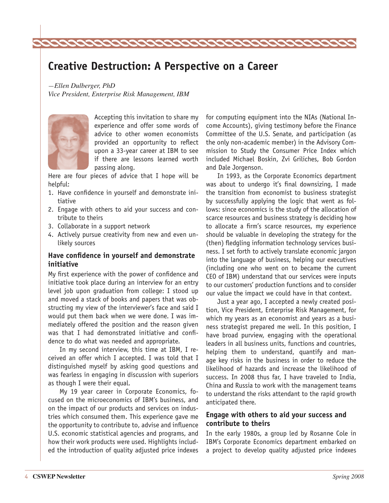### **Creative Destruction: A Perspective on a Career**

00000

*—Ellen Dulberger, PhD Vice President, Enterprise Risk Management, IBM*

2222222222222



Accepting this invitation to share my experience and offer some words of advice to other women economists provided an opportunity to reflect upon a 33-year career at IBM to see if there are lessons learned worth passing along.

Here are four pieces of advice that I hope will be helpful:

- 1. Have confidence in yourself and demonstrate initiative
- 2. Engage with others to aid your success and contribute to theirs
- 3. Collaborate in a support network
- 4. Actively pursue creativity from new and even unlikely sources

#### **Have confidence in yourself and demonstrate initiative**

My first experience with the power of confidence and initiative took place during an interview for an entry level job upon graduation from college: I stood up and moved a stack of books and papers that was obstructing my view of the interviewer's face and said I would put them back when we were done. I was immediately offered the position and the reason given was that I had demonstrated initiative and confidence to do what was needed and appropriate.

In my second interview, this time at IBM, I received an offer which I accepted. I was told that I distinguished myself by asking good questions and was fearless in engaging in discussion with superiors as though I were their equal.

My 19 year career in Corporate Economics, focused on the microeconomics of IBM's business, and on the impact of our products and services on industries which consumed them. This experience gave me the opportunity to contribute to, advise and influence U.S. economic statistical agencies and programs, and how their work products were used. Highlights included the introduction of quality adjusted price indexes for computing equipment into the NIAs (National Income Accounts), giving testimony before the Finance Committee of the U.S. Senate, and participation (as the only non-academic member) in the Advisory Commission to Study the Consumer Price Index which included Michael Boskin, Zvi Griliches, Bob Gordon and Dale Jorgenson.

In 1993, as the Corporate Economics department was about to undergo it's final downsizing, I made the transition from economist to business strategist by successfully applying the logic that went as follows: since economics is the study of the allocation of scarce resources and business strategy is deciding how to allocate a firm's scarce resources, my experience should be valuable in developing the strategy for the (then) fledgling information technology services business. I set forth to actively translate economic jargon into the language of business, helping our executives (including one who went on to became the current CEO of IBM) understand that our services were inputs to our customers' production functions and to consider our value the impact we could have in that context.

Just a year ago, I accepted a newly created position, Vice President, Enterprise Risk Management, for which my years as an economist and years as a business strategist prepared me well. In this position, I have broad purview, engaging with the operational leaders in all business units, functions and countries, helping them to understand, quantify and manage key risks in the business in order to reduce the likelihood of hazards and increase the likelihood of success. In 2008 thus far, I have traveled to India, China and Russia to work with the management teams to understand the risks attendant to the rapid growth anticipated there.

#### **Engage with others to aid your success and contribute to theirs**

In the early 1980s, a group led by Rosanne Cole in IBM's Corporate Economics department embarked on a project to develop quality adjusted price indexes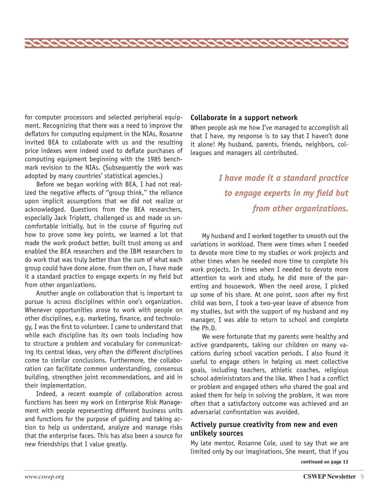for computer processors and selected peripheral equipment. Recognizing that there was a need to improve the deflators for computing equipment in the NIAs, Rosanne invited BEA to collaborate with us and the resulting price indexes were indeed used to deflate purchases of computing equipment beginning with the 1985 benchmark revision to the NIAs. (Subsequently the work was adopted by many countries' statistical agencies.)

Before we began working with BEA, I had not realized the negative effects of "group think," the reliance upon implicit assumptions that we did not realize or acknowledged. Questions from the BEA researchers, especially Jack Triplett, challenged us and made us uncomfortable initially, but in the course of figuring out how to prove some key points, we learned a lot that made the work product better, built trust among us and enabled the BEA researchers and the IBM researchers to do work that was truly better than the sum of what each group could have done alone. From then on, I have made it a standard practice to engage experts in my field but from other organizations.

Another angle on collaboration that is important to pursue is across disciplines within one's organization. Whenever opportunities arose to work with people on other disciplines, e.g. marketing, finance, and technology, I was the first to volunteer. I came to understand that while each discipline has its own tools including how to structure a problem and vocabulary for communicating its central ideas, very often the different disciplines come to similar conclusions. Furthermore, the collaboration can facilitate common understanding, consensus building, strengthen joint recommendations, and aid in their implementation.

Indeed, a recent example of collaboration across functions has been my work on Enterprise Risk Management with people representing different business units and functions for the purpose of guiding and taking action to help us understand, analyze and manage risks that the enterprise faces. This has also been a source for new friendships that I value greatly.

#### **Collaborate in a support network**

When people ask me how I've managed to accomplish all that I have, my response is to say that I haven't done it alone! My husband, parents, friends, neighbors, colleagues and managers all contributed.

## *I have made it a standard practice to engage experts in my field but from other organizations.*

My husband and I worked together to smooth out the variations in workload. There were times when I needed to devote more time to my studies or work projects and other times when he needed more time to complete his work projects. In times when I needed to devote more attention to work and study, he did more of the parenting and housework. When the need arose, I picked up some of his share. At one point, soon after my first child was born, I took a two-year leave of absence from my studies, but with the support of my husband and my manager, I was able to return to school and complete the Ph.D.

We were fortunate that my parents were healthy and active grandparents, taking our children on many vacations during school vacation periods. I also found it useful to engage others in helping us meet collective goals, including teachers, athletic coaches, religious school administrators and the like. When I had a conflict or problem and engaged others who shared the goal and asked them for help in solving the problem, it was more often that a satisfactory outcome was achieved and an adversarial confrontation was avoided.

### **Actively pursue creativity from new and even unlikely sources**

My late mentor, Rosanne Cole, used to say that we are limited only by our imaginations. She meant, that if you

**continued on page 13**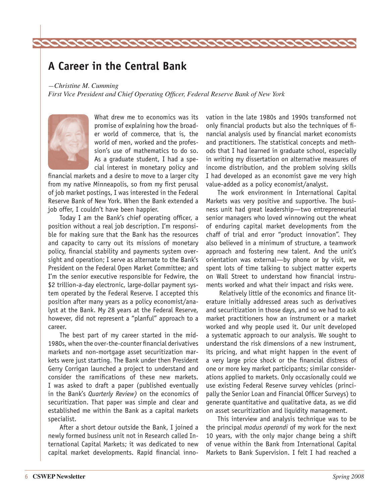### **A Career in the Central Bank**

*—Christine M. Cumming* 

*First Vice President and Chief Operating Officer, Federal Reserve Bank of New York* 

22222222222222222222222



What drew me to economics was its promise of explaining how the broader world of commerce, that is, the world of men, worked and the profession's use of mathematics to do so. As a graduate student, I had a special interest in monetary policy and

financial markets and a desire to move to a larger city from my native Minneapolis, so from my first perusal of job market postings, I was interested in the Federal Reserve Bank of New York. When the Bank extended a job offer, I couldn't have been happier.

Today I am the Bank's chief operating officer, a position without a real job description. I'm responsible for making sure that the Bank has the resources and capacity to carry out its missions of monetary policy, financial stability and payments system oversight and operation; I serve as alternate to the Bank's President on the Federal Open Market Committee; and I'm the senior executive responsible for Fedwire, the \$2 trillion-a-day electronic, large-dollar payment system operated by the Federal Reserve. I accepted this position after many years as a policy economist/analyst at the Bank. My 28 years at the Federal Reserve, however, did not represent a "planful" approach to a career.

The best part of my career started in the mid-1980s, when the over-the-counter financial derivatives markets and non-mortgage asset securitization markets were just starting. The Bank under then President Gerry Corrigan launched a project to understand and consider the ramifications of these new markets. I was asked to draft a paper (published eventually in the Bank's *Quarterly Review)* on the economics of securitization. That paper was simple and clear and established me within the Bank as a capital markets specialist.

After a short detour outside the Bank, I joined a newly formed business unit not in Research called International Capital Markets; it was dedicated to new capital market developments. Rapid financial innovation in the late 1980s and 1990s transformed not only financial products but also the techniques of financial analysis used by financial market economists and practitioners. The statistical concepts and methods that I had learned in graduate school, especially in writing my dissertation on alternative measures of income distribution, and the problem solving skills I had developed as an economist gave me very high value-added as a policy economist/analyst.

The work environment in International Capital Markets was very positive and supportive. The business unit had great leadership—two entrepreneurial senior managers who loved winnowing out the wheat of enduring capital market developments from the chaff of trial and error "product innovation". They also believed in a minimum of structure, a teamwork approach and fostering new talent. And the unit's orientation was external—by phone or by visit, we spent lots of time talking to subject matter experts on Wall Street to understand how financial instruments worked and what their impact and risks were.

 Relatively little of the economics and finance literature initially addressed areas such as derivatives and securitization in those days, and so we had to ask market practitioners how an instrument or a market worked and why people used it. Our unit developed a systematic approach to our analysis. We sought to understand the risk dimensions of a new instrument, its pricing, and what might happen in the event of a very large price shock or the financial distress of one or more key market participants; similar considerations applied to markets. Only occasionally could we use existing Federal Reserve survey vehicles (principally the Senior Loan and Financial Officer Surveys) to generate quantitative and qualitative data, as we did on asset securitization and liquidity management.

This interview and analysis technique was to be the principal *modus operandi* of my work for the next 10 years, with the only major change being a shift of venue within the Bank from International Capital Markets to Bank Supervision. I felt I had reached a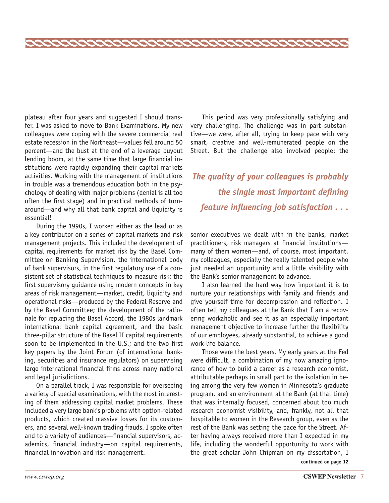plateau after four years and suggested I should transfer. I was asked to move to Bank Examinations. My new colleagues were coping with the severe commercial real estate recession in the Northeast—values fell around 50 percent—and the bust at the end of a leverage buyout lending boom, at the same time that large financial institutions were rapidly expanding their capital markets activities. Working with the management of institutions in trouble was a tremendous education both in the psychology of dealing with major problems (denial is all too often the first stage) and in practical methods of turnaround—and why all that bank capital and liquidity is essential!

During the 1990s, I worked either as the lead or as a key contributor on a series of capital markets and risk management projects. This included the development of capital requirements for market risk by the Basel Committee on Banking Supervision, the international body of bank supervisors, in the first regulatory use of a consistent set of statistical techniques to measure risk; the first supervisory guidance using modern concepts in key areas of risk management—market, credit, liquidity and operational risks—produced by the Federal Reserve and by the Basel Committee; the development of the rationale for replacing the Basel Accord, the 1980s landmark international bank capital agreement, and the basic three-pillar structure of the Basel II capital requirements soon to be implemented in the U.S.; and the two first key papers by the Joint Forum (of international banking, securities and insurance regulators) on supervising large international financial firms across many national and legal jurisdictions.

On a parallel track, I was responsible for overseeing a variety of special examinations, with the most interesting of them addressing capital market problems. These included a very large bank's problems with option-related products, which created massive losses for its customers, and several well-known trading frauds. I spoke often and to a variety of audiences—financial supervisors, academics, financial industry—on capital requirements, financial innovation and risk management.

This period was very professionally satisfying and very challenging. The challenge was in part substantive—we were, after all, trying to keep pace with very smart, creative and well-remunerated people on the Street. But the challenge also involved people: the

*The quality of your colleagues is probably the single most important defining feature influencing job satisfaction . . .*

senior executives we dealt with in the banks, market practitioners, risk managers at financial institutions many of them women—and, of course, most important, my colleagues, especially the really talented people who just needed an opportunity and a little visibility with the Bank's senior management to advance.

I also learned the hard way how important it is to nurture your relationships with family and friends and give yourself time for decompression and reflection. I often tell my colleagues at the Bank that I am a recovering workaholic and see it as an especially important management objective to increase further the flexibility of our employees, already substantial, to achieve a good work-life balance.

Those were the best years. My early years at the Fed were difficult, a combination of my now amazing ignorance of how to build a career as a research economist, attributable perhaps in small part to the isolation in being among the very few women in Minnesota's graduate program, and an environment at the Bank (at that time) that was internally focused, concerned about too much research economist visibility, and, frankly, not all that hospitable to women in the Research group, even as the rest of the Bank was setting the pace for the Street. After having always received more than I expected in my life, including the wonderful opportunity to work with the great scholar John Chipman on my dissertation, I **continued on page 12**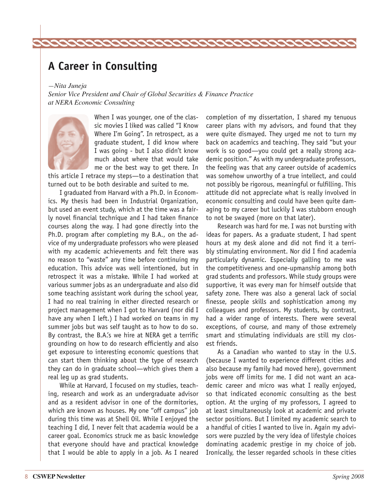### **A Career in Consulting**

*—Nita Juneja Senior Vice President and Chair of Global Securities & Finance Practice at NERA Economic Consulting* 

222222222222222222



When I was younger, one of the classic movies I liked was called "I Know Where I'm Going". In retrospect, as a graduate student, I did know where I was going - but I also didn't know much about where that would take me or the best way to get there. In

this article I retrace my steps—to a destination that turned out to be both desirable and suited to me.

I graduated from Harvard with a Ph.D. in Economics. My thesis had been in Industrial Organization, but used an event study, which at the time was a fairly novel financial technique and I had taken finance courses along the way. I had gone directly into the Ph.D. program after completing my B.A., on the advice of my undergraduate professors who were pleased with my academic achievements and felt there was no reason to "waste" any time before continuing my education. This advice was well intentioned, but in retrospect it was a mistake. While I had worked at various summer jobs as an undergraduate and also did some teaching assistant work during the school year, I had no real training in either directed research or project management when I got to Harvard (nor did I have any when I left.) I had worked on teams in my summer jobs but was self taught as to how to do so. By contrast, the B.A.'s we hire at NERA get a terrific grounding on how to do research efficiently and also get exposure to interesting economic questions that can start them thinking about the type of research they can do in graduate school—which gives them a real leg up as grad students.

While at Harvard, I focused on my studies, teaching, research and work as an undergraduate advisor and as a resident advisor in one of the dormitories, which are known as houses. My one "off campus" job during this time was at Shell Oil. While I enjoyed the teaching I did, I never felt that academia would be a career goal. Economics struck me as basic knowledge that everyone should have and practical knowledge that I would be able to apply in a job. As I neared

completion of my dissertation, I shared my tenuous career plans with my advisors, and found that they were quite dismayed. They urged me not to turn my back on academics and teaching. They said "but your work is so good—you could get a really strong academic position." As with my undergraduate professors, the feeling was that any career outside of academics was somehow unworthy of a true intellect, and could not possibly be rigorous, meaningful or fulfilling. This attitude did not appreciate what is really involved in economic consulting and could have been quite damaging to my career but luckily I was stubborn enough to not be swayed (more on that later).

Research was hard for me. I was not bursting with ideas for papers. As a graduate student, I had spent hours at my desk alone and did not find it a terribly stimulating environment. Nor did I find academia particularly dynamic. Especially galling to me was the competitiveness and one-upmanship among both grad students and professors. While study groups were supportive, it was every man for himself outside that safety zone. There was also a general lack of social finesse, people skills and sophistication among my colleagues and professors. My students, by contrast, had a wider range of interests. There were several exceptions, of course, and many of those extremely smart and stimulating individuals are still my closest friends.

As a Canadian who wanted to stay in the U.S. (because I wanted to experience different cities and also because my family had moved here), government jobs were off limits for me. I did not want an academic career and micro was what I really enjoyed, so that indicated economic consulting as the best option. At the urging of my professors, I agreed to at least simultaneously look at academic and private sector positions. But I limited my academic search to a handful of cities I wanted to live in. Again my advisors were puzzled by the very idea of lifestyle choices dominating academic prestige in my choice of job. Ironically, the lesser regarded schools in these cities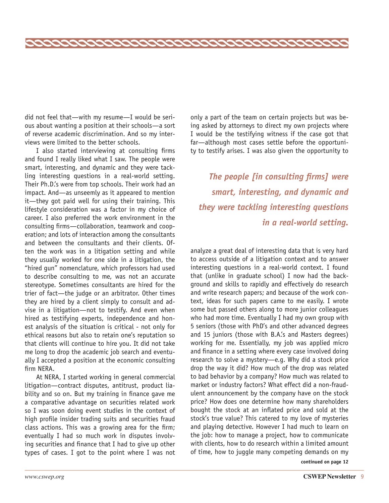did not feel that—with my resume—I would be serious about wanting a position at their schools—a sort of reverse academic discrimination. And so my interviews were limited to the better schools.

22222222222222222222222222222222222222

I also started interviewing at consulting firms and found I really liked what I saw. The people were smart, interesting, and dynamic and they were tackling interesting questions in a real-world setting. Their Ph.D.'s were from top schools. Their work had an impact. And—as unseemly as it appeared to mention it—they got paid well for using their training. This lifestyle consideration was a factor in my choice of career. I also preferred the work environment in the consulting firms—collaboration, teamwork and cooperation; and lots of interaction among the consultants and between the consultants and their clients. Often the work was in a litigation setting and while they usually worked for one side in a litigation, the "hired gun" nomenclature, which professors had used to describe consulting to me, was not an accurate stereotype. Sometimes consultants are hired for the trier of fact—the judge or an arbitrator. Other times they are hired by a client simply to consult and advise in a litigation—not to testify. And even when hired as testifying experts, independence and honest analysis of the situation is critical - not only for ethical reasons but also to retain one's reputation so that clients will continue to hire you. It did not take me long to drop the academic job search and eventually I accepted a position at the economic consulting firm NERA.

At NERA, I started working in general commercial litigation—contract disputes, antitrust, product liability and so on. But my training in finance gave me a comparative advantage on securities related work so I was soon doing event studies in the context of high profile insider trading suits and securities fraud class actions. This was a growing area for the firm; eventually I had so much work in disputes involving securities and finance that I had to give up other types of cases. I got to the point where I was not

only a part of the team on certain projects but was being asked by attorneys to direct my own projects where I would be the testifying witness if the case got that far—although most cases settle before the opportunity to testify arises. I was also given the opportunity to

*The people [in consulting firms] were smart, interesting, and dynamic and they were tackling interesting questions in a real-world setting.* 

analyze a great deal of interesting data that is very hard to access outside of a litigation context and to answer interesting questions in a real-world context. I found that (unlike in graduate school) I now had the background and skills to rapidly and effectively do research and write research papers; and because of the work context, ideas for such papers came to me easily. I wrote some but passed others along to more junior colleagues who had more time. Eventually I had my own group with 5 seniors (those with PhD's and other advanced degrees and 15 juniors (those with B.A.'s and Masters degrees) working for me. Essentially, my job was applied micro and finance in a setting where every case involved doing research to solve a mystery—e.g. Why did a stock price drop the way it did? How much of the drop was related to bad behavior by a company? How much was related to market or industry factors? What effect did a non-fraudulent announcement by the company have on the stock price? How does one determine how many shareholders bought the stock at an inflated price and sold at the stock's true value? This catered to my love of mysteries and playing detective. However I had much to learn on the job: how to manage a project, how to communicate with clients, how to do research within a limited amount of time, how to juggle many competing demands on my

**continued on page 12**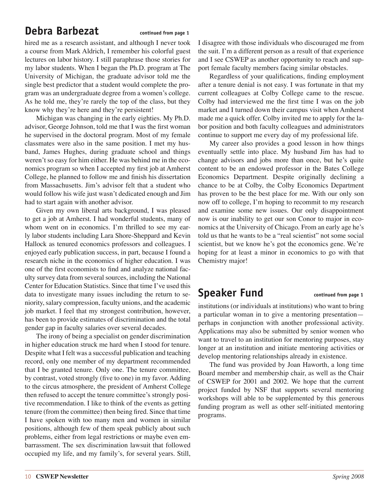### **Debra Barbezat** continued from page 1

hired me as a research assistant, and although I never took a course from Mark Aldrich, I remember his colorful guest lectures on labor history. I still paraphrase those stories for my labor students. When I began the Ph.D. program at The University of Michigan, the graduate advisor told me the single best predictor that a student would complete the program was an undergraduate degree from a women's college. As he told me, they're rarely the top of the class, but they know why they're here and they're persistent!

Michigan was changing in the early eighties. My Ph.D. advisor, George Johnson, told me that I was the first woman he supervised in the doctoral program. Most of my female classmates were also in the same position. I met my husband, James Hughes, during graduate school and things weren't so easy for him either. He was behind me in the economics program so when I accepted my first job at Amherst College, he planned to follow me and finish his dissertation from Massachusetts. Jim's advisor felt that a student who would follow his wife just wasn't dedicated enough and Jim had to start again with another advisor.

Given my own liberal arts background, I was pleased to get a job at Amherst. I had wonderful students, many of whom went on in economics. I'm thrilled to see my early labor students including Lara Shore-Sheppard and Kevin Hallock as tenured economics professors and colleagues. I enjoyed early publication success, in part, because I found a research niche in the economics of higher education. I was one of the first economists to find and analyze national faculty survey data from several sources, including the National Center for Education Statistics. Since that time I've used this data to investigate many issues including the return to seniority, salary compression, faculty unions, and the academic job market. I feel that my strongest contribution, however, has been to provide estimates of discrimination and the total gender gap in faculty salaries over several decades.

The irony of being a specialist on gender discrimination in higher education struck me hard when I stood for tenure. Despite what I felt was a successful publication and teaching record, only one member of my department recommended that I be granted tenure. Only one. The tenure committee, by contrast, voted strongly (five to one) in my favor. Adding to the circus atmosphere, the president of Amherst College then refused to accept the tenure committee's strongly positive recommendation. I like to think of the events as getting tenure (from the committee) then being fired. Since that time I have spoken with too many men and women in similar positions, although few of them speak publicly about such problems, either from legal restrictions or maybe even embarrassment. The sex discrimination lawsuit that followed occupied my life, and my family's, for several years. Still, I disagree with those individuals who discouraged me from the suit. I'm a different person as a result of that experience and I see CSWEP as another opportunity to reach and support female faculty members facing similar obstacles.

Regardless of your qualifications, finding employment after a tenure denial is not easy. I was fortunate in that my current colleagues at Colby College came to the rescue. Colby had interviewed me the first time I was on the job market and I turned down their campus visit when Amherst made me a quick offer. Colby invited me to apply for the labor position and both faculty colleagues and administrators continue to support me every day of my professional life.

My career also provides a good lesson in how things eventually settle into place. My husband Jim has had to change advisors and jobs more than once, but he's quite content to be an endowed professor in the Bates College Economics Department. Despite originally declining a chance to be at Colby, the Colby Economics Department has proven to be the best place for me. With our only son now off to college, I'm hoping to recommit to my research and examine some new issues. Our only disappointment now is our inability to get our son Conor to major in economics at the University of Chicago. From an early age he's told us that he wants to be a "real scientist" not some social scientist, but we know he's got the economics gene. We're hoping for at least a minor in economics to go with that Chemistry major!

### **Speaker Fund** continued from page 1

institutions (or individuals at institutions) who want to bring a particular woman in to give a mentoring presentation perhaps in conjunction with another professional activity. Applications may also be submitted by senior women who want to travel to an institution for mentoring purposes, stay longer at an institution and initiate mentoring activities or develop mentoring relationships already in existence.

The fund was provided by Joan Haworth, a long time Board member and membership chair, as well as the Chair of CSWEP for 2001 and 2002. We hope that the current project funded by NSF that supports several mentoring workshops will able to be supplemented by this generous funding program as well as other self-initiated mentoring programs.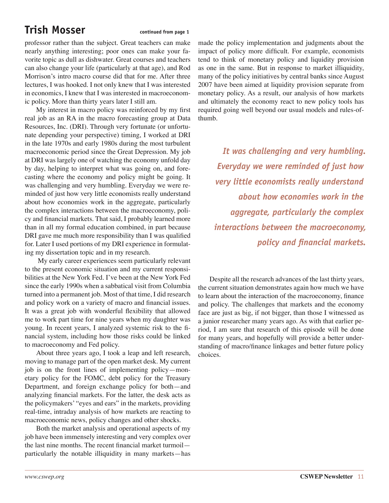## **Trish Mosser** continued from page 1

professor rather than the subject. Great teachers can make nearly anything interesting; poor ones can make your favorite topic as dull as dishwater. Great courses and teachers can also change your life (particularly at that age), and Rod Morrison's intro macro course did that for me. After three lectures, I was hooked. I not only knew that I was interested in economics, I knew that I was interested in macroeconomic policy. More than thirty years later I still am.

My interest in macro policy was reinforced by my first real job as an RA in the macro forecasting group at Data Resources, Inc. (DRI). Through very fortunate (or unfortunate depending your perspective) timing, I worked at DRI in the late 1970s and early 1980s during the most turbulent macroeconomic period since the Great Depression. My job at DRI was largely one of watching the economy unfold day by day, helping to interpret what was going on, and forecasting where the economy and policy might be going. It was challenging and very humbling. Everyday we were reminded of just how very little economists really understand about how economies work in the aggregate, particularly the complex interactions between the macroeconomy, policy and financial markets. That said, I probably learned more than in all my formal education combined, in part because DRI gave me much more responsibility than I was qualified for. Later I used portions of my DRI experience in formulating my dissertation topic and in my research.

 My early career experiences seem particularly relevant to the present economic situation and my current responsibilities at the New York Fed. I've been at the New York Fed since the early 1990s when a sabbatical visit from Columbia turned into a permanent job. Most of that time, I did research and policy work on a variety of macro and financial issues. It was a great job with wonderful flexibility that allowed me to work part time for nine years when my daughter was young. In recent years, I analyzed systemic risk to the financial system, including how those risks could be linked to macroeconomy and Fed policy.

About three years ago, I took a leap and left research, moving to manage part of the open market desk. My current job is on the front lines of implementing policy—monetary policy for the FOMC, debt policy for the Treasury Department, and foreign exchange policy for both—and analyzing financial markets. For the latter, the desk acts as the policymakers' "eyes and ears" in the markets, providing real-time, intraday analysis of how markets are reacting to macroeconomic news, policy changes and other shocks.

Both the market analysis and operational aspects of my job have been immensely interesting and very complex over the last nine months. The recent financial market turmoil particularly the notable illiquidity in many markets—has

made the policy implementation and judgments about the impact of policy more difficult. For example, economists tend to think of monetary policy and liquidity provision as one in the same. But in response to market illiquidity, many of the policy initiatives by central banks since August 2007 have been aimed at liquidity provision separate from monetary policy. As a result, our analysis of how markets and ultimately the economy react to new policy tools has required going well beyond our usual models and rules-ofthumb.

*It was challenging and very humbling. Everyday we were reminded of just how very little economists really understand about how economies work in the aggregate, particularly the complex interactions between the macroeconomy, policy and financial markets.*

Despite all the research advances of the last thirty years, the current situation demonstrates again how much we have to learn about the interaction of the macroeconomy, finance and policy. The challenges that markets and the economy face are just as big, if not bigger, than those I witnessed as a junior researcher many years ago. As with that earlier period, I am sure that research of this episode will be done for many years, and hopefully will provide a better understanding of macro/finance linkages and better future policy choices.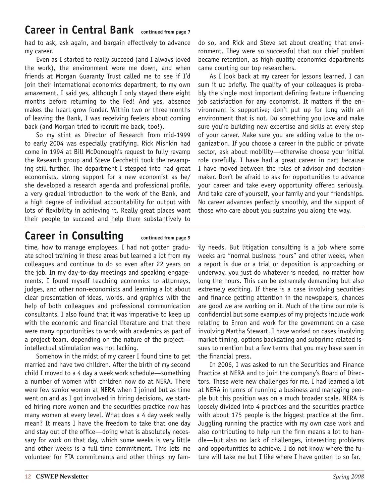### **Career in Central Bank continued from page 7**

had to ask, ask again, and bargain effectively to advance my career.

Even as I started to really succeed (and I always loved the work), the environment wore me down, and when friends at Morgan Guaranty Trust called me to see if I'd join their international economics department, to my own amazement, I said yes, although I only stayed there eight months before returning to the Fed! And yes, absence makes the heart grow fonder. Within two or three months of leaving the Bank, I was receiving feelers about coming back (and Morgan tried to recruit me back, too!).

So my stint as Director of Research from mid-1999 to early 2004 was especially gratifying. Rick Mishkin had come in 1994 at Bill McDonough's request to fully revamp the Research group and Steve Cecchetti took the revamping still further. The department I stepped into had great economists, strong support for a new economist as he/ she developed a research agenda and professional profile, a very gradual introduction to the work of the Bank, and a high degree of individual accountability for output with lots of flexibility in achieving it. Really great places want their people to succeed and help them substantively to

do so, and Rick and Steve set about creating that environment. They were so successful that our chief problem became retention, as high-quality economics departments came courting our top researchers.

As I look back at my career for lessons learned, I can sum it up briefly. The quality of your colleagues is probably the single most important defining feature influencing job satisfaction for any economist. It matters if the environment is supportive; don't put up for long with an environment that is not. Do something you love and make sure you're building new expertise and skills at every step of your career. Make sure you are adding value to the organization. If you choose a career in the public or private sector, ask about mobility—otherwise choose your initial role carefully. I have had a great career in part because I have moved between the roles of advisor and decisionmaker. Don't be afraid to ask for opportunities to advance your career and take every opportunity offered seriously. And take care of yourself, your family and your friendships. No career advances perfectly smoothly, and the support of those who care about you sustains you along the way.

### Career in Consulting continued from page 9

time, how to manage employees. I had not gotten graduate school training in these areas but learned a lot from my colleagues and continue to do so even after 22 years on the job. In my day-to-day meetings and speaking engagements, I found myself teaching economics to attorneys, judges, and other non-economists and learning a lot about clear presentation of ideas, words, and graphics with the help of both colleagues and professional communication consultants. I also found that it was imperative to keep up with the economic and financial literature and that there were many opportunities to work with academics as part of a project team, depending on the nature of the project intellectual stimulation was not lacking.

Somehow in the midst of my career I found time to get married and have two children. After the birth of my second child I moved to a 4 day a week work schedule—something a number of women with children now do at NERA. There were few senior women at NERA when I joined but as time went on and as I got involved in hiring decisions, we started hiring more women and the securities practice now has many women at every level. What does a 4 day week really mean? It means I have the freedom to take that one day and stay out of the office—doing what is absolutely necessary for work on that day, which some weeks is very little and other weeks is a full time commitment. This lets me volunteer for PTA commitments and other things my family needs. But litigation consulting is a job where some weeks are "normal business hours" and other weeks, when a report is due or a trial or deposition is approaching or underway, you just do whatever is needed, no matter how long the hours. This can be extremely demanding but also extremely exciting. If there is a case involving securities and finance getting attention in the newspapers, chances are good we are working on it. Much of the time our role is confidential but some examples of my projects include work relating to Enron and work for the government on a case involving Martha Stewart. I have worked on cases involving market timing, options backdating and subprime related issues to mention but a few terms that you may have seen in the financial press.

In 2006, I was asked to run the Securities and Finance Practice at NERA and to join the company's Board of Directors. These were new challenges for me. I had learned a lot at NERA in terms of running a business and managing people but this position was on a much broader scale. NERA is loosely divided into 4 practices and the securities practice with about 175 people is the biggest practice at the firm. Juggling running the practice with my own case work and also contributing to help run the firm means a lot to handle—but also no lack of challenges, interesting problems and opportunities to achieve. I do not know where the future will take me but I like where I have gotten to so far.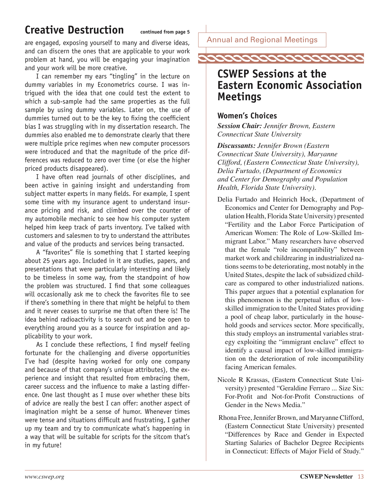### **Creative Destruction continued from page 5**

are engaged, exposing yourself to many and diverse ideas, and can discern the ones that are applicable to your work problem at hand, you will be engaging your imagination and your work will be more creative.

I can remember my ears "tingling" in the lecture on dummy variables in my Econometrics course. I was intrigued with the idea that one could test the extent to which a sub-sample had the same properties as the full sample by using dummy variables. Later on, the use of dummies turned out to be the key to fixing the coefficient bias I was struggling with in my dissertation research. The dummies also enabled me to demonstrate clearly that there were multiple price regimes when new computer processors were introduced and that the magnitude of the price differences was reduced to zero over time (or else the higher priced products disappeared).

I have often read journals of other disciplines, and been active in gaining insight and understanding from subject matter experts in many fields. For example, I spent some time with my insurance agent to understand insurance pricing and risk, and climbed over the counter of my automobile mechanic to see how his computer system helped him keep track of parts inventory. I've talked with customers and salesmen to try to understand the attributes and value of the products and services being transacted.

A "favorites" file is something that I started keeping about 25 years ago. Included in it are studies, papers, and presentations that were particularly interesting and likely to be timeless in some way, from the standpoint of how the problem was structured. I find that some colleagues will occasionally ask me to check the favorites file to see if there's something in there that might be helpful to them and it never ceases to surprise me that often there is! The idea behind radioactivity is to search out and be open to everything around you as a source for inspiration and applicability to your work.

As I conclude these reflections, I find myself feeling fortunate for the challenging and diverse opportunities I've had (despite having worked for only one company and because of that company's unique attributes), the experience and insight that resulted from embracing them, career success and the influence to make a lasting difference. One last thought as I muse over whether these bits of advice are really the best I can offer: another aspect of imagination might be a sense of humor. Whenever times were tense and situations difficult and frustrating, I gather up my team and try to communicate what's happening in a way that will be suitable for scripts for the sitcom that's in my future!

Annual and Regional Meetings

## *coocoocoocoocooc*o

### **CSWEP Sessions at the Eastern Economic Association Meetings**

### **Women's Choices**

*Session Chair: Jennifer Brown, Eastern Connecticut State University*

*Discussants: Jennifer Brown (Eastern Connecticut State University), Maryanne Clifford, (Eastern Connecticut State University), Delia Furtado, (Department of Economics and Center for Demography and Population Health, Florida State University).*

- Delia Furtado and Heinrich Hock, (Department of Economics and Center for Demography and Population Health, Florida State University) presented "Fertility and the Labor Force Participation of American Women: The Role of Low-Skilled Immigrant Labor." Many researchers have observed that the female "role incompatibility" between market work and childrearing in industrialized nations seems to be deteriorating, most notably in the United States, despite the lack of subsidized childcare as compared to other industrialized nations. This paper argues that a potential explanation for this phenomenon is the perpetual influx of lowskilled immigration to the United States providing a pool of cheap labor, particularly in the household goods and services sector. More specifically, this study employs an instrumental variables strategy exploiting the "immigrant enclave" effect to identify a causal impact of low-skilled immigration on the deterioration of role incompatibility facing American females.
- Nicole R Krassas, (Eastern Connecticut State University) presented "Geraldine Ferraro ... Size Six: For-Profit and Not-for-Profit Constructions of Gender in the News Media."
- Rhona Free, Jennifer Brown, and Maryanne Clifford, (Eastern Connecticut State University) presented "Differences by Race and Gender in Expected Starting Salaries of Bachelor Degree Recipients in Connecticut: Effects of Major Field of Study."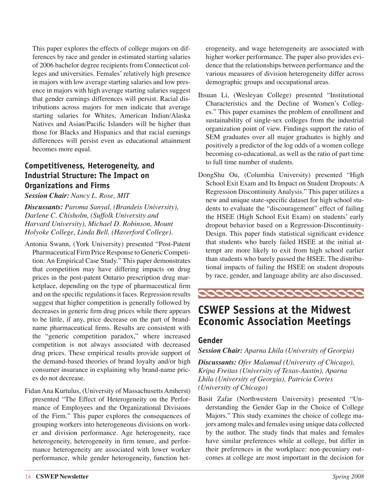This paper explores the effects of college majors on differences by race and gender in estimated starting salaries of 2006 bachelor degree recipients from Connecticut colleges and universities. Females' relatively high presence in majors with low average starting salaries and low presence in majors with high average starting salaries suggest that gender earnings differences will persist. Racial distributions across majors for men indicate that average starting salaries for Whites, American Indian/Alaska Natives and Asian/Pacific Islanders will be higher than those for Blacks and Hispanics and that racial earnings differences will persist even as educational attainment becomes more equal.

### **Competitiveness, Heterogeneity, and Industrial Structure: The Impact on Organizations and Firms**

#### *Session Chair: Nancy L. Rose, MIT*

*Discussants: Paroma Sanyal, (Brandeis University), Darlene C. Chisholm, (Suffolk University and Harvard University), Michael D. Robinson, Mount Holyoke College, Linda Bell, (Haverford College).*

- Antonia Swann, (York University) presented "Post-Patent Pharmaceutical Firm Price Response to Generic Competition: An Empirical Case Study." This paper demonstrates that competition may have differing impacts on drug prices in the post-patent Ontario prescription drug marketplace, depending on the type of pharmaceutical firm and on the specific regulations it faces. Regression results suggest that higher competition is generally followed by decreases in generic firm drug prices while there appears to be little, if any, price decrease on the part of brandname pharmaceutical firms. Results are consistent with the "generic competition paradox," where increased competition is not always associated with decreased drug prices. These empirical results provide support of the demand-based theories of brand loyalty and/or high consumer insurance in explaining why brand-name prices do not decrease.
- Fidan Ana Kurtulus, (University of Massachusetts Amherst) presented "The Effect of Heterogeneity on the Performance of Employees and the Organizational Divisions of the Firm." This paper explores the consequences of grouping workers into heterogeneous divisions on worker and division performance. Age heterogeneity, race heterogeneity, heterogeneity in firm tenure, and performance heterogeneity are associated with lower worker performance, while gender heterogeneity, function het-

erogeneity, and wage heterogeneity are associated with higher worker performance. The paper also provides evidence that the relationships between performance and the various measures of division heterogeneity differ across demographic groups and occupational areas.

- Ihsuan Li, (Wesleyan College) presented "Institutional Characteristics and the Decline of Women's Colleges." This paper examines the problem of enrollment and sustainability of single-sex colleges from the industrial organization point of view. Findings support the ratio of SEM graduates over all major graduates is highly and positively a predictor of the log odds of a women college becoming co-educational, as well as the ratio of part time to full time number of students.
- DongShu Ou, (Columbia University) presented "High School Exit Exam and Its Impact on Student Dropouts: A Regression Discontinuity Analysis." This paper utilizes a new and unique state-specific dataset for high school students to evaluate the "discouragement" effect of failing the HSEE (High School Exit Exam) on students' early dropout behavior based on a Regression-Discontinuity-Design. This paper finds statistical significant evidence that students who barely failed HSEE at the initial attempt are more likely to exit from high school earlier than students who barely passed the HSEE. The distributional impacts of failing the HSEE on student dropouts by race, gender, and language ability are also discussed.



### **CSWEP Sessions at the Midwest Economic Association Meetings**

### **Gender**

*Session Chair: Aparna Lhila (University of Georgia)*

*Discussants: Ofer Malamud (University of Chicago), Kripa Freitas (University of Texas-Austin), Aparna Lhila (University of Georgia), Patricia Cortes (University of Chicago)*

Basit Zafar (Northwestern University) presented "Understanding the Gender Gap in the Choice of College Majors." This study examines the choice of college majors among males and females using unique data collected by the author. The study finds that males and females have similar preferences while at college, but differ in their preferences in the workplace: non-pecuniary outcomes at college are most important in the decision for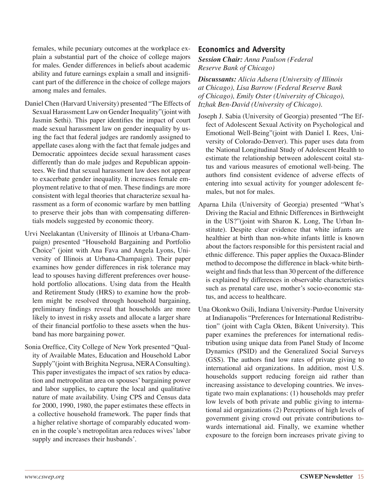females, while pecuniary outcomes at the workplace explain a substantial part of the choice of college majors for males. Gender differences in beliefs about academic ability and future earnings explain a small and insignificant part of the difference in the choice of college majors among males and females.

- Daniel Chen (Harvard University) presented "The Effects of Sexual Harassment Law on Gender Inequality"(joint with Jasmin Sethi). This paper identifies the impact of court made sexual harassment law on gender inequality by using the fact that federal judges are randomly assigned to appellate cases along with the fact that female judges and Democratic appointees decide sexual harassment cases differently than do male judges and Republican appointees. We find that sexual harassment law does not appear to exacerbate gender inequality. It increases female employment relative to that of men. These findings are more consistent with legal theories that characterize sexual harassment as a form of economic warfare by men battling to preserve their jobs than with compensating differentials models suggested by economic theory.
- Urvi Neelakantan (University of Illinois at Urbana-Champaign) presented "Household Bargaining and Portfolio Choice" (joint with Ana Fava and Angela Lyons, University of Illinois at Urbana-Champaign). Their paper examines how gender differences in risk tolerance may lead to spouses having different preferences over household portfolio allocations. Using data from the Health and Retirement Study (HRS) to examine how the problem might be resolved through household bargaining, preliminary findings reveal that households are more likely to invest in risky assets and allocate a larger share of their financial portfolio to these assets when the husband has more bargaining power.
- Sonia Oreffice, City College of New York presented "Quality of Available Mates, Education and Household Labor Supply"(joint with Brighita Negrusa, NERA Consulting). This paper investigates the impact of sex ratios by education and metropolitan area on spouses' bargaining power and labor supplies, to capture the local and qualitative nature of mate availability. Using CPS and Census data for 2000, 1990, 1980, the paper estimates these effects in a collective household framework. The paper finds that a higher relative shortage of comparably educated women in the couple's metropolitan area reduces wives' labor supply and increases their husbands'.

### **Economics and Adversity**

*Session Chair: Anna Paulson (Federal Reserve Bank of Chicago)*

*Discussants: Alicia Adsera (University of Illinois at Chicago), Lisa Barrow (Federal Reserve Bank of Chicago), Emily Oster (University of Chicago), Itzhak Ben-David (University of Chicago).*

- Joseph J. Sabia (University of Georgia) presented "The Effect of Adolescent Sexual Activity on Psychological and Emotional Well-Being"(joint with Daniel I. Rees, University of Colorado-Denver). This paper uses data from the National Longitudinal Study of Adolescent Health to estimate the relationship between adolescent coital status and various measures of emotional well-being. The authors find consistent evidence of adverse effects of entering into sexual activity for younger adolescent females, but not for males.
- Aparna Lhila (University of Georgia) presented "What's Driving the Racial and Ethnic Differences in Birthweight in the US?"(joint with Sharon K. Long, The Urban Institute). Despite clear evidence that white infants are healthier at birth than non-white infants little is known about the factors responsible for this persistent racial and ethnic difference. This paper applies the Oaxaca-Blinder method to decompose the difference in black-white birthweight and finds that less than 30 percent of the difference is explained by differences in observable characteristics such as prenatal care use, mother's socio-economic status, and access to healthcare.
- Una Okonkwo Osili, Indiana University-Purdue University at Indianapolis "Preferences for International Redistribution" (joint with Cagla Okten, Bikent University). This paper examines the preferences for international redistribution using unique data from Panel Study of Income Dynamics (PSID) and the Generalized Social Surveys (GSS). The authors find low rates of private giving to international aid organizations. In addition, most U.S. households support reducing foreign aid rather than increasing assistance to developing countries. We investigate two main explanations: (1) households may prefer low levels of both private and public giving to international aid organizations (2) Perceptions of high levels of government giving crowd out private contributions towards international aid. Finally, we examine whether exposure to the foreign born increases private giving to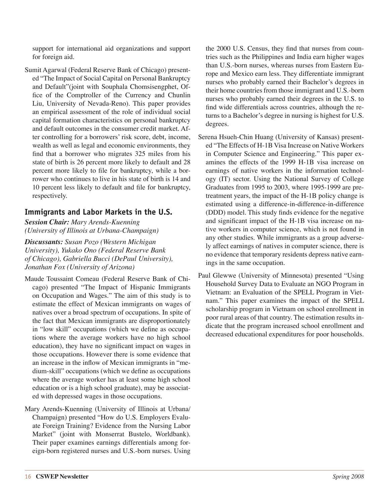support for international aid organizations and support for foreign aid.

Sumit Agarwal (Federal Reserve Bank of Chicago) presented "The Impact of Social Capital on Personal Bankruptcy and Default"(joint with Souphala Chomsisengphet, Office of the Comptroller of the Currency and Chunlin Liu, University of Nevada-Reno). This paper provides an empirical assessment of the role of individual social capital formation characteristics on personal bankruptcy and default outcomes in the consumer credit market. After controlling for a borrowers' risk score, debt, income, wealth as well as legal and economic environments, they find that a borrower who migrates 325 miles from his state of birth is 26 percent more likely to default and 28 percent more likely to file for bankruptcy, while a borrower who continues to live in his state of birth is 14 and 10 percent less likely to default and file for bankruptcy, respectively.

### **Immigrants and Labor Markets in the U.S.**

*Session Chair: Mary Arends-Kuenning (University of Illinois at Urbana-Champaign)*

*Discussants: Susan Pozo (Western Michigan University), Yukako Ono (Federal Reserve Bank of Chicago), Gabriella Bucci (DePaul University), Jonathan Fox (University of Arizona)*

- Maude Toussaint Comeau (Federal Reserve Bank of Chicago) presented "The Impact of Hispanic Immigrants on Occupation and Wages." The aim of this study is to estimate the effect of Mexican immigrants on wages of natives over a broad spectrum of occupations. In spite of the fact that Mexican immigrants are disproportionately in "low skill" occupations (which we define as occupations where the average workers have no high school education), they have no significant impact on wages in those occupations. However there is some evidence that an increase in the inflow of Mexican immigrants in "medium-skill" occupations (which we define as occupations where the average worker has at least some high school education or is a high school graduate), may be associated with depressed wages in those occupations.
- Mary Arends-Kuenning (University of Illinois at Urbana/ Champaign) presented "How do U.S. Employers Evaluate Foreign Training? Evidence from the Nursing Labor Market" (joint with Monserrat Bustelo, Worldbank). Their paper examines earnings differentials among foreign-born registered nurses and U.S.-born nurses. Using

the 2000 U.S. Census, they find that nurses from countries such as the Philippines and India earn higher wages than U.S.-born nurses, whereas nurses from Eastern Europe and Mexico earn less. They differentiate immigrant nurses who probably earned their Bachelor's degrees in their home countries from those immigrant and U.S.-born nurses who probably earned their degrees in the U.S. to find wide differentials across countries, although the returns to a Bachelor's degree in nursing is highest for U.S. degrees.

- Serena Hsueh-Chin Huang (University of Kansas) presented "The Effects of H-1B Visa Increase on Native Workers in Computer Science and Engineering." This paper examines the effects of the 1999 H-1B visa increase on earnings of native workers in the information technology (IT) sector. Using the National Survey of College Graduates from 1995 to 2003, where 1995-1999 are pretreatment years, the impact of the H-1B policy change is estimated using a difference-in-difference-in-difference (DDD) model. This study finds evidence for the negative and significant impact of the H-1B visa increase on native workers in computer science, which is not found in any other studies. While immigrants as a group adversely affect earnings of natives in computer science, there is no evidence that temporary residents depress native earnings in the same occupation.
- Paul Glewwe (University of Minnesota) presented "Using Household Survey Data to Evaluate an NGO Program in Vietnam: an Evaluation of the SPELL Program in Vietnam." This paper examines the impact of the SPELL scholarship program in Vietnam on school enrollment in poor rural areas of that country. The estimation results indicate that the program increased school enrollment and decreased educational expenditures for poor households.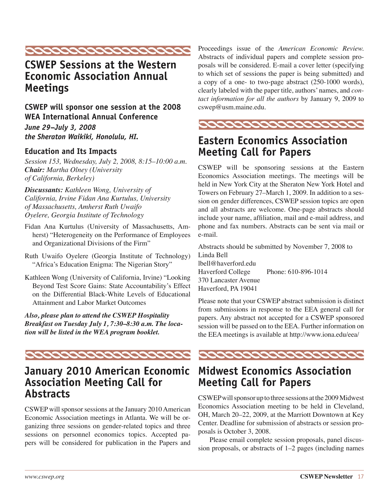

### **CSWEP Sessions at the Western Economic Association Annual Meetings**

**CSWEP will sponsor one session at the 2008 WEA International Annual Conference**

*June 29–July 3, 2008 the Sheraton Waikiki, Honolulu, HI.*

### **Education and Its Impacts**

*Session 153, Wednesday, July 2, 2008, 8:15–10:00 a.m. Chair: Martha Olney (University of California, Berkeley)*

*Discussants: Kathleen Wong, University of California, Irvine Fidan Ana Kurtulus, University of Massachusetts, Amherst Ruth Uwaifo Oyelere, Georgia Institute of Technology*

- Fidan Ana Kurtulus (University of Massachusetts, Amherst) "Heterogeneity on the Performance of Employees and Organizational Divisions of the Firm"
- Ruth Uwaifo Oyelere (Georgia Institute of Technology) "Africa's Education Enigma: The Nigerian Story"
- Kathleen Wong (University of California, Irvine) "Looking Beyond Test Score Gains: State Accountability's Effect on the Differential Black-White Levels of Educational Attainment and Labor Market Outcomes

*Also, please plan to attend the CSWEP Hospitality Breakfast on Tuesday July 1, 7:30–8:30 a.m. The location will be listed in the WEA program booklet.*



### **January 2010 American Economic Association Meeting Call for Abstracts**

CSWEP will sponsor sessions at the January 2010 American Economic Association meetings in Atlanta. We will be organizing three sessions on gender-related topics and three sessions on personnel economics topics. Accepted papers will be considered for publication in the Papers and Proceedings issue of the *American Economic Review.*  Abstracts of individual papers and complete session proposals will be considered. E-mail a cover letter (specifying to which set of sessions the paper is being submitted) and a copy of a one- to two-page abstract (250-1000 words), clearly labeled with the paper title, authors' names, and *contact information for all the authors* by January 9, 2009 to cswep@usm.maine.edu.



### **Eastern Economics Association Meeting Call for Papers**

CSWEP will be sponsoring sessions at the Eastern Economics Association meetings. The meetings will be held in New York City at the Sheraton New York Hotel and Towers on February 27–March 1, 2009. In addition to a session on gender differences, CSWEP session topics are open and all abstracts are welcome. One-page abstracts should include your name, affiliation, mail and e-mail address, and phone and fax numbers. Abstracts can be sent via mail or e-mail.

Abstracts should be submitted by November 7, 2008 to Linda Bell lbell@haverford.edu Haverford College Phone: 610-896-1014 370 Lancaster Avenue Haverford, PA 19041

Please note that your CSWEP abstract submission is distinct from submissions in response to the EEA general call for papers. Any abstract not accepted for a CSWEP sponsored session will be passed on to the EEA. Further information on the EEA meetings is available at http://www.iona.edu/eea/



### **Midwest Economics Association Meeting Call for Papers**

CSWEP will sponsor up to three sessions at the 2009 Midwest Economics Association meeting to be held in Cleveland, OH, March 20–22, 2009, at the Marriott Downtown at Key Center. Deadline for submission of abstracts or session proposals is October 3, 2008.

Please email complete session proposals, panel discussion proposals, or abstracts of 1–2 pages (including names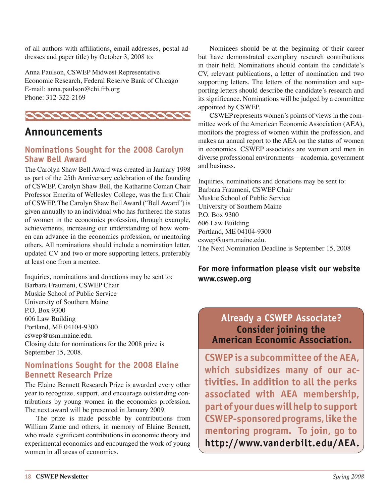of all authors with affiliations, email addresses, postal addresses and paper title) by October 3, 2008 to:

Anna Paulson, CSWEP Midwest Representative Economic Research, Federal Reserve Bank of Chicago E-mail: anna.paulson@chi.frb.org Phone: 312-322-2169



### **Announcements**

### **Nominations Sought for the 2008 Carolyn Shaw Bell Award**

The Carolyn Shaw Bell Award was created in January 1998 as part of the 25th Anniversary celebration of the founding of CSWEP. Carolyn Shaw Bell, the Katharine Coman Chair Professor Emerita of Wellesley College, was the first Chair of CSWEP. The Carolyn Shaw Bell Award ("Bell Award") is given annually to an individual who has furthered the status of women in the economics profession, through example, achievements, increasing our understanding of how women can advance in the economics profession, or mentoring others. All nominations should include a nomination letter, updated CV and two or more supporting letters, preferably at least one from a mentee.

Inquiries, nominations and donations may be sent to: Barbara Fraumeni, CSWEP Chair Muskie School of Public Service University of Southern Maine P.O. Box 9300 606 Law Building Portland, ME 04104-9300 cswep@usm.maine.edu. Closing date for nominations for the 2008 prize is September 15, 2008.

### **Nominations Sought for the 2008 Elaine Bennett Research Prize**

The Elaine Bennett Research Prize is awarded every other year to recognize, support, and encourage outstanding contributions by young women in the economics profession. The next award will be presented in January 2009.

The prize is made possible by contributions from William Zame and others, in memory of Elaine Bennett, who made significant contributions in economic theory and experimental economics and encouraged the work of young women in all areas of economics.

Nominees should be at the beginning of their career but have demonstrated exemplary research contributions in their field. Nominations should contain the candidate's CV, relevant publications, a letter of nomination and two supporting letters. The letters of the nomination and supporting letters should describe the candidate's research and its significance. Nominations will be judged by a committee appointed by CSWEP.

CSWEP represents women's points of views in the committee work of the American Economic Association (AEA), monitors the progress of women within the profession, and makes an annual report to the AEA on the status of women in economics. CSWEP associates are women and men in diverse professional environments—academia, government and business.

Inquiries, nominations and donations may be sent to: Barbara Fraumeni, CSWEP Chair Muskie School of Public Service University of Southern Maine P.O. Box 9300 606 Law Building Portland, ME 04104-9300 cswep@usm.maine.edu. The Next Nomination Deadline is September 15, 2008

### **For more information please visit our website www.cswep.org**

### **Already a CSWEP Associate? Consider joining the American Economic Association.**

**CSWEP is a subcommittee of the AEA, which subsidizes many of our activities. In addition to all the perks associated with AEA membership, part of your dues will help to support CSWEP-sponsored programs, like the mentoring program. To join, go to http://www.vanderbilt.edu/AEA.**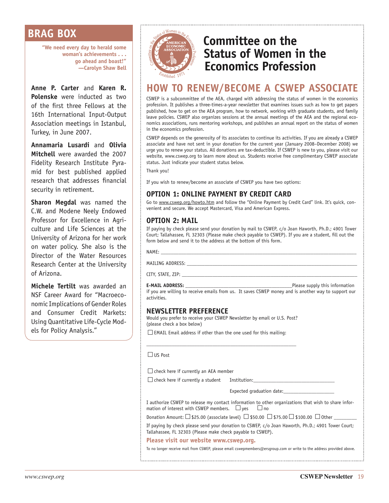### **BRAG BOX**

**"We need every day to herald some woman's achievements . . . go ahead and boast!" —Carolyn Shaw Bell**

**Anne P. Carter** and **Karen R. Polenske** were inducted as two of the first three Fellows at the 16th International Input-Output Association meetings in Istanbul, Turkey, in June 2007.

**Annamaria Lusardi** and **Olivia Mitchell** were awarded the 2007 Fidelity Research Institute Pyramid for best published applied research that addresses financial security in retirement.

**Sharon Megdal** was named the C.W. and Modene Neely Endowed Professor for Excellence in Agriculture and Life Sciences at the University of Arizona for her work on water policy. She also is the Director of the Water Resources Research Center at the University of Arizona.

**Michele Tertilt** was awarded an NSF Career Award for "Macroeconomic Implications of Gender Roles and Consumer Credit Markets: Using Quantitative Life-Cycle Models for Policy Analysis."



### **Committee on the Status of Women in the Economics Profession**

### **HOW TO RENEW/BECOME A CSWEP ASSOCIATE**

CSWEP is a subcommittee of the AEA, charged with addressing the status of women in the economics profession. It publishes a three-times-a-year newsletter that examines issues such as how to get papers published, how to get on the AEA program, how to network, working with graduate students, and family leave policies. CSWEP also organizes sessions at the annual meetings of the AEA and the regional economics associations, runs mentoring workshops, and publishes an annual report on the status of women in the economics profession.

CSWEP depends on the generosity of its associates to continue its activities. If you are already a CSWEP associate and have not sent in your donation for the current year (January 2008–December 2008) we urge you to renew your status. All donations are tax-deductible. If CSWEP is new to you, please visit our website, www.cswep.org to learn more about us. Students receive free complimentary CSWEP associate status. Just indicate your student status below.

Thank you!

If you wish to renew/become an associate of CSWEP you have two options:

### **OPTION 1: ONLINE PAYMENT BY CREDIT CARD**

Go to www.cswep.org/howto.htm and follow the "Online Payment by Credit Card" link. It's quick, convenient and secure. We accept Mastercard, Visa and American Express.

### **OPTION 2: MAIL**

If paying by check please send your donation by mail to CSWEP, c/o Joan Haworth, Ph.D.; 4901 Tower Court; Tallahassee, FL 32303 (Please make check payable to CSWEP). If you are a student, fill out the form below and send it to the address at the bottom of this form.

NAME: \_\_\_\_\_\_\_\_\_\_\_\_\_\_\_\_\_\_\_\_\_\_\_\_\_\_\_\_\_\_\_\_\_\_\_\_\_\_\_\_\_\_\_\_\_\_\_\_\_\_\_\_\_\_\_\_\_\_\_\_\_\_\_\_\_\_\_\_\_\_\_\_\_\_\_\_\_

MAILING ADDRESS:

CITY, STATE, ZIP: \_

**E-MAIL ADDRESS: E-MAIL ADDRESS: E-MAIL ADDRESS:** *Please supply this information* if you are willing to receive emails from us. It saves CSWEP money and is another way to support our activities.

### **NEWSLETTER PREFERENCE**

Would you prefer to receive your CSWEP Newsletter by email or U.S. Post? (please check a box below)

\_\_\_\_\_\_\_\_\_\_\_\_\_\_\_\_\_\_\_\_\_\_\_\_\_\_\_\_\_\_\_\_\_\_\_\_\_\_\_\_\_\_\_\_\_\_\_\_\_\_\_\_\_\_\_\_\_\_\_

 $\square$  EMAIL Email address if other than the one used for this mailing:

#### $\Box$ IIS Post

 $\square$  check here if currently an AEA member

 $\Box$  check here if currently a student Institution:

Expected graduation date:

I authorize CSWEP to release my contact information to other organizations that wish to share information of interest with CSWEP members.  $\Box$  yes  $\Box$  no

Donation Amount:  $\Box$  \$25.00 (associate level)  $\Box$  \$50.00  $\Box$  \$75.00  $\Box$  \$100.00  $\Box$  Other

If paying by check please send your donation to CSWEP, c/o Joan Haworth, Ph.D.; 4901 Tower Court; Tallahassee, FL 32303 (Please make check payable to CSWEP).

#### **Please visit our website www.cswep.org.**

To no longer receive mail from CSWEP, please email cswepmembers@ersgroup.com or write to the address provided above.